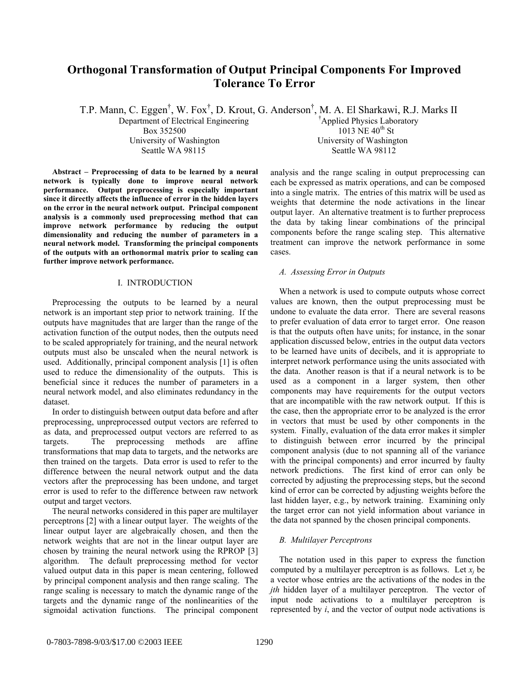# **Orthogonal Transformation of Output Principal Components For Improved Tolerance To Error**

T.P. Mann, C. Eggen<sup>†</sup>, W. Fox<sup>†</sup>, D. Krout, G. Anderson<sup>†</sup>, M. A. El Sharkawi, R.J. Marks II Department of Electrical Engineering † Applied Physics Laboratory  $Box 352500$  1013 NE  $40^{th}$  St University of Washington University of Washington Seattle WA 98115 Seattle WA 98112

**Abstract – Preprocessing of data to be learned by a neural network is typically done to improve neural network performance. Output preprocessing is especially important since it directly affects the influence of error in the hidden layers on the error in the neural network output. Principal component analysis is a commonly used preprocessing method that can improve network performance by reducing the output dimensionality and reducing the number of parameters in a neural network model. Transforming the principal components of the outputs with an orthonormal matrix prior to scaling can further improve network performance.** 

# I. INTRODUCTION

Preprocessing the outputs to be learned by a neural network is an important step prior to network training. If the outputs have magnitudes that are larger than the range of the activation function of the output nodes, then the outputs need to be scaled appropriately for training, and the neural network outputs must also be unscaled when the neural network is used. Additionally, principal component analysis [1] is often used to reduce the dimensionality of the outputs. This is beneficial since it reduces the number of parameters in a neural network model, and also eliminates redundancy in the dataset.

In order to distinguish between output data before and after preprocessing, unpreprocessed output vectors are referred to as data, and preprocessed output vectors are referred to as targets. The preprocessing methods are affine transformations that map data to targets, and the networks are then trained on the targets. Data error is used to refer to the difference between the neural network output and the data vectors after the preprocessing has been undone, and target error is used to refer to the difference between raw network output and target vectors.

The neural networks considered in this paper are multilayer perceptrons [2] with a linear output layer. The weights of the linear output layer are algebraically chosen, and then the network weights that are not in the linear output layer are chosen by training the neural network using the RPROP [3] algorithm. The default preprocessing method for vector valued output data in this paper is mean centering, followed by principal component analysis and then range scaling. The range scaling is necessary to match the dynamic range of the targets and the dynamic range of the nonlinearities of the sigmoidal activation functions. The principal component analysis and the range scaling in output preprocessing can each be expressed as matrix operations, and can be composed into a single matrix. The entries of this matrix will be used as weights that determine the node activations in the linear output layer. An alternative treatment is to further preprocess the data by taking linear combinations of the principal components before the range scaling step. This alternative treatment can improve the network performance in some cases.

# *A. Assessing Error in Outputs*

When a network is used to compute outputs whose correct values are known, then the output preprocessing must be undone to evaluate the data error. There are several reasons to prefer evaluation of data error to target error. One reason is that the outputs often have units; for instance, in the sonar application discussed below, entries in the output data vectors to be learned have units of decibels, and it is appropriate to interpret network performance using the units associated with the data. Another reason is that if a neural network is to be used as a component in a larger system, then other components may have requirements for the output vectors that are incompatible with the raw network output. If this is the case, then the appropriate error to be analyzed is the error in vectors that must be used by other components in the system. Finally, evaluation of the data error makes it simpler to distinguish between error incurred by the principal component analysis (due to not spanning all of the variance with the principal components) and error incurred by faulty network predictions. The first kind of error can only be corrected by adjusting the preprocessing steps, but the second kind of error can be corrected by adjusting weights before the last hidden layer, e.g., by network training. Examining only the target error can not yield information about variance in the data not spanned by the chosen principal components.

# *B. Multilayer Perceptrons*

The notation used in this paper to express the function computed by a multilayer perceptron is as follows. Let  $x_i$  be a vector whose entries are the activations of the nodes in the *jth* hidden layer of a multilayer perceptron. The vector of input node activations to a multilayer perceptron is represented by *i*, and the vector of output node activations is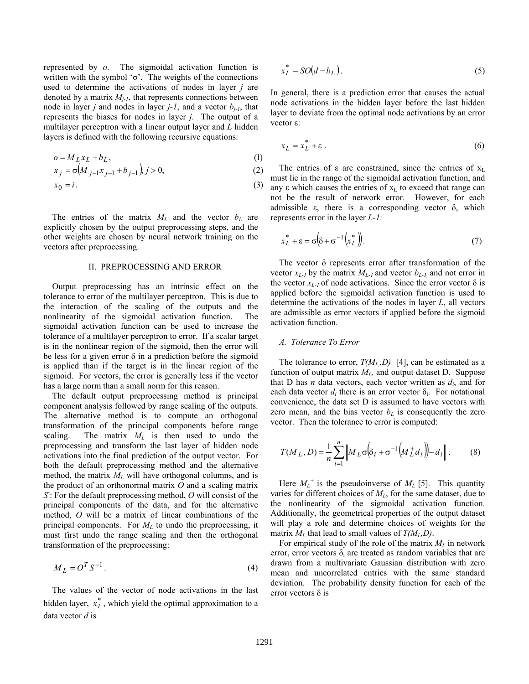represented by *o*. The sigmoidal activation function is written with the symbol ' $\sigma$ '. The weights of the connections used to determine the activations of nodes in layer *j* are denoted by a matrix  $M_{i-1}$ , that represents connections between node in layer *j* and nodes in layer  $j-l$ , and a vector  $b_{j-l}$ , that represents the biases for nodes in layer *j*. The output of a multilayer perceptron with a linear output layer and *L* hidden layers is defined with the following recursive equations:

$$
o = M_L x_L + b_L, \tag{1}
$$

$$
x_j = \sigma \big( M_{j-1} x_{j-1} + b_{j-1} \big), j > 0,
$$
\n(2)

$$
x_0 = i. \tag{3}
$$

The entries of the matrix  $M_L$  and the vector  $b_L$  are explicitly chosen by the output preprocessing steps, and the other weights are chosen by neural network training on the vectors after preprocessing.

# II. PREPROCESSING AND ERROR

Output preprocessing has an intrinsic effect on the tolerance to error of the multilayer perceptron. This is due to the interaction of the scaling of the outputs and the nonlinearity of the sigmoidal activation function. The sigmoidal activation function can be used to increase the tolerance of a multilayer perceptron to error. If a scalar target is in the nonlinear region of the sigmoid, then the error will be less for a given error  $\delta$  in a prediction before the sigmoid is applied than if the target is in the linear region of the sigmoid. For vectors, the error is generally less if the vector has a large norm than a small norm for this reason.

The default output preprocessing method is principal component analysis followed by range scaling of the outputs. The alternative method is to compute an orthogonal transformation of the principal components before range scaling. The matrix  $M_L$  is then used to undo the preprocessing and transform the last layer of hidden node activations into the final prediction of the output vector. For both the default preprocessing method and the alternative method, the matrix  $M_L$  will have orthogonal columns, and is the product of an orthonormal matrix *O* and a scaling matrix *S-* : For the default preprocessing method, *O* will consist of the principal components of the data, and for the alternative method, *O* will be a matrix of linear combinations of the principal components. For *ML* to undo the preprocessing, it must first undo the range scaling and then the orthogonal transformation of the preprocessing:

$$
M_L = O^T S^{-1}.
$$
\n<sup>(4)</sup>

The values of the vector of node activations in the last hidden layer,  $x_L^*$ , which yield the optimal approximation to a data vector *d* is

$$
x_L^* = SO(d - b_L). \tag{5}
$$

In general, there is a prediction error that causes the actual node activations in the hidden layer before the last hidden layer to deviate from the optimal node activations by an error vector ε:

$$
x_L = x_L^* + \varepsilon \,. \tag{6}
$$

The entries of  $\varepsilon$  are constrained, since the entries of  $x_L$ must lie in the range of the sigmoidal activation function, and any  $\varepsilon$  which causes the entries of  $x<sub>L</sub>$  to exceed that range can not be the result of network error. However, for each admissible  $\varepsilon$ , there is a corresponding vector  $\delta$ , which represents error in the layer *L-1:* 

$$
x_L^* + \varepsilon = \sigma \left( \delta + \sigma^{-1} \left( x_L^* \right) \right). \tag{7}
$$

The vector  $\delta$  represents error after transformation of the vector  $x_{L-1}$  by the matrix  $M_{L-1}$  and vector  $b_{L-1}$ , and not error in the vector  $x_{L-1}$  of node activations. Since the error vector  $\delta$  is applied before the sigmoidal activation function is used to determine the activations of the nodes in layer *L*, all vectors are admissible as error vectors if applied before the sigmoid activation function.

#### *A. Tolerance To Error*

The tolerance to error,  $T(M_L, D)$  [4], can be estimated as a function of output matrix  $M_L$ , and output dataset D. Suppose that D has *n* data vectors, each vector written as *di*, and for each data vector  $d_i$  there is an error vector  $\delta_i$ . For notational convenience, the data set D is assumed to have vectors with zero mean, and the bias vector  $b<sub>L</sub>$  is consequently the zero vector. Then the tolerance to error is computed:

$$
T(M_L, D) = \frac{1}{n} \sum_{i=1}^{n} \left\| M_L \sigma \left( \delta_i + \sigma^{-1} \left( M_L^+ d_i \right) - d_i \right) \right\|.
$$
 (8)

Here  $M_L^+$  is the pseudoinverse of  $M_L$  [5]. This quantity varies for different choices of *ML*, for the same dataset, due to the nonlinearity of the sigmoidal activation function. Additionally, the geometrical properties of the output dataset will play a role and determine choices of weights for the matrix  $M_L$  that lead to small values of  $T(M_L, D)$ .

For empirical study of the role of the matrix  $M_L$  in network error, error vectors  $\delta_i$  are treated as random variables that are drawn from a multivariate Gaussian distribution with zero mean and uncorrelated entries with the same standard deviation. The probability density function for each of the error vectors  $\delta$  is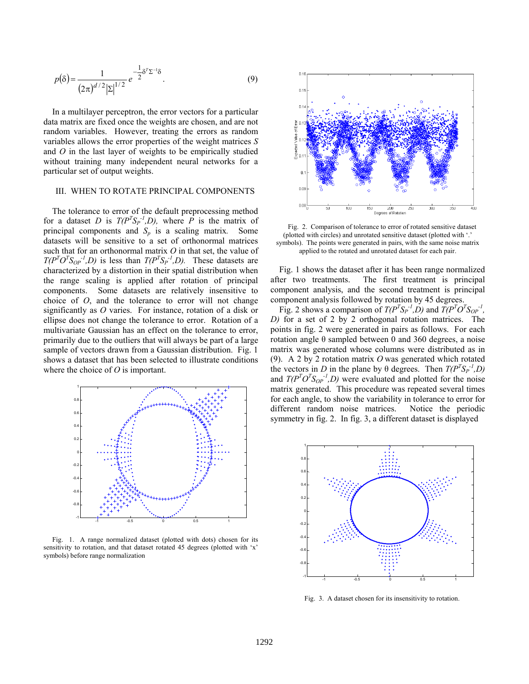$$
p(\delta) = \frac{1}{(2\pi)^{d/2} |\Sigma|^{1/2}} e^{-\frac{1}{2}\delta^T \Sigma^{-1} \delta}.
$$
 (9)

In a multilayer perceptron, the error vectors for a particular data matrix are fixed once the weights are chosen, and are not random variables. However, treating the errors as random variables allows the error properties of the weight matrices *S* and *O* in the last layer of weights to be empirically studied without training many independent neural networks for a particular set of output weights.

# III. WHEN TO ROTATE PRINCIPAL COMPONENTS

The tolerance to error of the default preprocessing method for a dataset *D* is  $T(P^T S_P^{-1}, D)$ , where *P* is the matrix of principal components and  $S_p$  is a scaling matrix. Some datasets will be sensitive to a set of orthonormal matrices such that for an orthonormal matrix *O* in that set, the value of  $T(P^T O^T S_{OP}^{-1}, D)$  is less than  $T(P^T S_P^{-1}, D)$ . These datasets are characterized by a distortion in their spatial distribution when the range scaling is applied after rotation of principal components. Some datasets are relatively insensitive to choice of *O*, and the tolerance to error will not change significantly as *O* varies. For instance, rotation of a disk or ellipse does not change the tolerance to error. Rotation of a multivariate Gaussian has an effect on the tolerance to error, primarily due to the outliers that will always be part of a large sample of vectors drawn from a Gaussian distribution. Fig. 1 shows a dataset that has been selected to illustrate conditions where the choice of *O* is important.



Fig. 1. A range normalized dataset (plotted with dots) chosen for its sensitivity to rotation, and that dataset rotated 45 degrees (plotted with 'x' symbols) before range normalization



Fig. 2. Comparison of tolerance to error of rotated sensitive dataset (plotted with circles) and unrotated sensitive dataset (plotted with '.' symbols). The points were generated in pairs, with the same noise matrix applied to the rotated and unrotated dataset for each pair.

Fig. 1 shows the dataset after it has been range normalized after two treatments. The first treatment is principal component analysis, and the second treatment is principal component analysis followed by rotation by 45 degrees.

Fig. 2 shows a comparison of  $T(P^T S_P^{-1}, D)$  and  $T(P^T O^T S_{OP}^{-1})$ , *D)* for a set of 2 by 2 orthogonal rotation matrices. The points in fig. 2 were generated in pairs as follows. For each rotation angle θ sampled between 0 and 360 degrees, a noise matrix was generated whose columns were distributed as in (9). A 2 by 2 rotation matrix *O* was generated which rotated the vectors in *D* in the plane by  $\theta$  degrees. Then  $T(P^T S_P^{-1}, D)$ and  $T(P^T O^T S_{OP}^{-1}, D)$  were evaluated and plotted for the noise matrix generated. This procedure was repeated several times for each angle, to show the variability in tolerance to error for different random noise matrices. Notice the periodic symmetry in fig. 2. In fig. 3, a different dataset is displayed



Fig. 3. A dataset chosen for its insensitivity to rotation.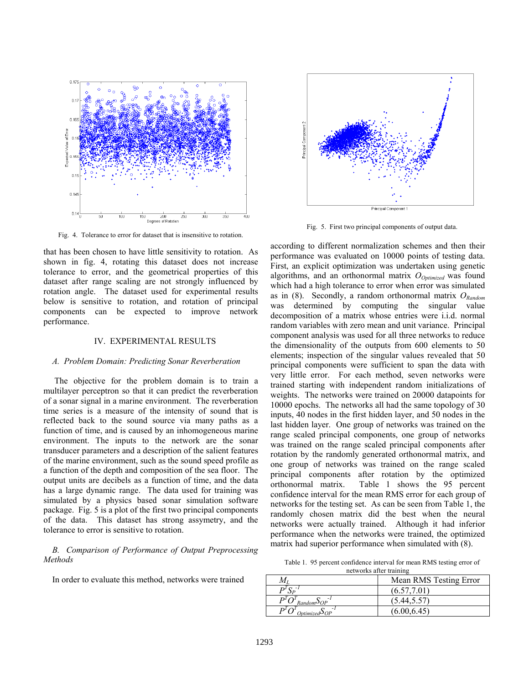

Fig. 4. Tolerance to error for dataset that is insensitive to rotation.

that has been chosen to have little sensitivity to rotation. As shown in fig. 4, rotating this dataset does not increase tolerance to error, and the geometrical properties of this dataset after range scaling are not strongly influenced by rotation angle. The dataset used for experimental results below is sensitive to rotation, and rotation of principal components can be expected to improve network performance.

#### IV. EXPERIMENTAL RESULTS

#### *A. Problem Domain: Predicting Sonar Reverberation*

The objective for the problem domain is to train a multilayer perceptron so that it can predict the reverberation of a sonar signal in a marine environment. The reverberation time series is a measure of the intensity of sound that is reflected back to the sound source via many paths as a function of time, and is caused by an inhomogeneous marine environment. The inputs to the network are the sonar transducer parameters and a description of the salient features of the marine environment, such as the sound speed profile as a function of the depth and composition of the sea floor. The output units are decibels as a function of time, and the data has a large dynamic range. The data used for training was simulated by a physics based sonar simulation software package. Fig. 5 is a plot of the first two principal components of the data. This dataset has strong assymetry, and the tolerance to error is sensitive to rotation.

*B. Comparison of Performance of Output Preprocessing Methods* 

In order to evaluate this method, networks were trained



Fig. 5. First two principal components of output data.

according to different normalization schemes and then their performance was evaluated on 10000 points of testing data. First, an explicit optimization was undertaken using genetic algorithms, and an orthonormal matrix  $O_{Optimized}$  was found which had a high tolerance to error when error was simulated as in (8). Secondly, a random orthonormal matrix  $O_{Random}$ was determined by computing the singular value decomposition of a matrix whose entries were i.i.d. normal random variables with zero mean and unit variance. Principal component analysis was used for all three networks to reduce the dimensionality of the outputs from 600 elements to 50 elements; inspection of the singular values revealed that 50 principal components were sufficient to span the data with very little error. For each method, seven networks were trained starting with independent random initializations of weights. The networks were trained on 20000 datapoints for 10000 epochs. The networks all had the same topology of 30 inputs, 40 nodes in the first hidden layer, and 50 nodes in the last hidden layer. One group of networks was trained on the range scaled principal components, one group of networks was trained on the range scaled principal components after rotation by the randomly generated orthonormal matrix, and one group of networks was trained on the range scaled principal components after rotation by the optimized orthonormal matrix. Table 1 shows the 95 percent confidence interval for the mean RMS error for each group of networks for the testing set. As can be seen from Table 1, the randomly chosen matrix did the best when the neural networks were actually trained. Although it had inferior performance when the networks were trained, the optimized matrix had superior performance when simulated with (8).

Table 1. 95 percent confidence interval for mean RMS testing error of networks after training

| Mean RMS Testing Error |  |
|------------------------|--|
| (6.57, 7.01)           |  |
| (5.44, 5.57)           |  |
| (6.00, 6.45)           |  |
|                        |  |